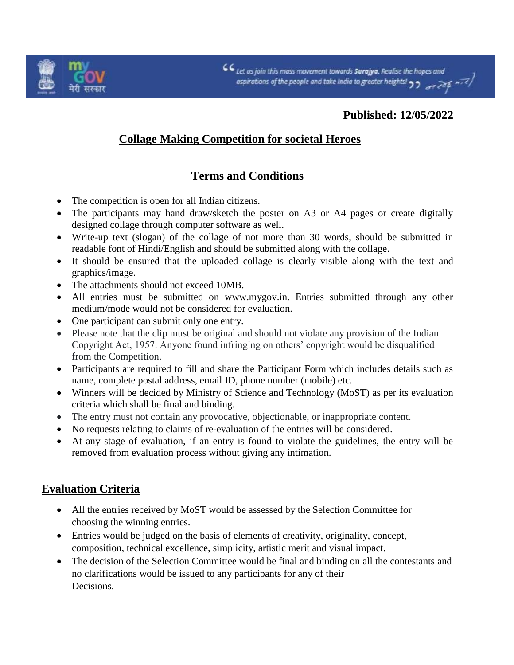

## **Published: 12/05/2022**

## **Collage Making Competition for societal Heroes**

## **Terms and Conditions**

- The competition is open for all Indian citizens.
- The participants may hand draw/sketch the poster on A3 or A4 pages or create digitally designed collage through computer software as well.
- Write-up text (slogan) of the collage of not more than 30 words, should be submitted in readable font of Hindi/English and should be submitted along with the collage.
- It should be ensured that the uploaded collage is clearly visible along with the text and graphics/image.
- The attachments should not exceed 10MB.
- All entries must be submitted on www.mygov.in. Entries submitted through any other medium/mode would not be considered for evaluation.
- One participant can submit only one entry.
- Please note that the clip must be original and should not violate any provision of the Indian Copyright Act, 1957. Anyone found infringing on others' copyright would be disqualified from the Competition.
- Participants are required to fill and share the Participant Form which includes details such as name, complete postal address, email ID, phone number (mobile) etc.
- Winners will be decided by Ministry of Science and Technology (MoST) as per its evaluation criteria which shall be final and binding.
- The entry must not contain any provocative, objectionable, or inappropriate content.
- No requests relating to claims of re-evaluation of the entries will be considered.
- At any stage of evaluation, if an entry is found to violate the guidelines, the entry will be removed from evaluation process without giving any intimation.

## **Evaluation Criteria**

- All the entries received by MoST would be assessed by the Selection Committee for choosing the winning entries.
- Entries would be judged on the basis of elements of creativity, originality, concept, composition, technical excellence, simplicity, artistic merit and visual impact.
- The decision of the Selection Committee would be final and binding on all the contestants and no clarifications would be issued to any participants for any of their Decisions.